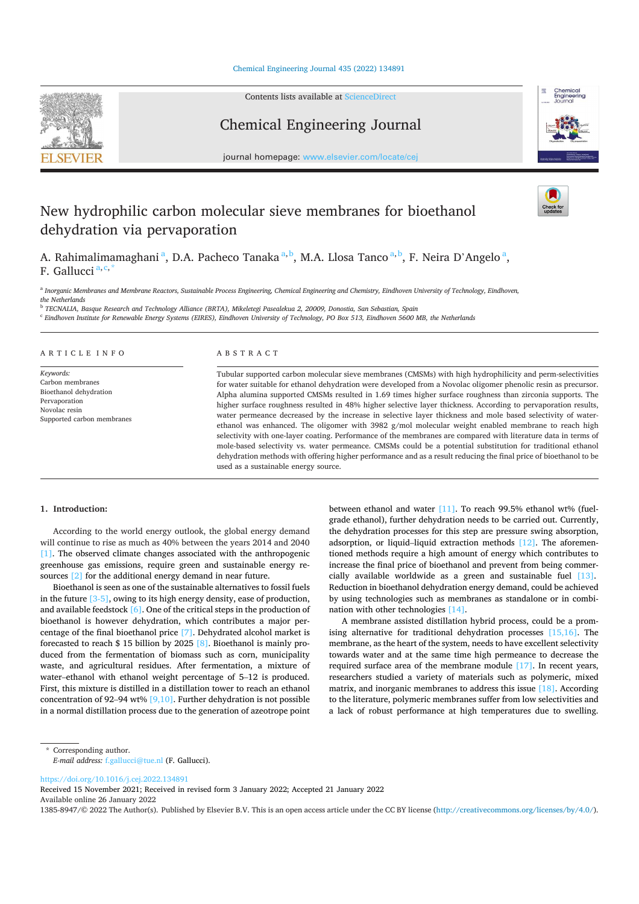#### Chemical Engineering Journal 435 (2022) 134891



Contents lists available at ScienceDirect

Chemical Engineering Journal



journal homepage: www.elsevier.com/locate/cej

# New hydrophilic carbon molecular sieve membranes for bioethanol dehydration via pervaporation



A. Rahimalimamaghani<sup>a</sup>, D.A. Pacheco Tanaka<sup>a, b</sup>, M.A. Llosa Tanco<sup>a, b</sup>, F. Neira D'Angelo<sup>a</sup>, F. Gallucci<sup>a, c, 2</sup>

a Inorganic Membranes and Membrane Reactors, Sustainable Process Engineering, Chemical Engineering and Chemistry, Eindhoven University of Technology, Eindhoven, the Netherlands

 $^{\rm b}$  TECNALIA, Basque Research and Technology Alliance (BRTA), Mikeletegi Pasealekua 2, 20009, Donostia, San Sebastian, Spain

<sup>c</sup> Eindhoven Institute for Renewable Energy Systems (EIRES), Eindhoven University of Technology, PO Box 513, Eindhoven 5600 MB, the Netherlands

#### ARTICLE INFO

Keywords: Carbon membranes Bioethanol dehydration Pervaporation Novolac resin Supported carbon membranes

# ABSTRACT

Tubular supported carbon molecular sieve membranes (CMSMs) with high hydrophilicity and perm-selectivities for water suitable for ethanol dehydration were developed from a Novolac oligomer phenolic resin as precursor. Alpha alumina supported CMSMs resulted in 1.69 times higher surface roughness than zirconia supports. The higher surface roughness resulted in 48% higher selective layer thickness. According to pervaporation results, water permeance decreased by the increase in selective layer thickness and mole based selectivity of waterethanol was enhanced. The oligomer with 3982 g/mol molecular weight enabled membrane to reach high selectivity with one-layer coating. Performance of the membranes are compared with literature data in terms of mole-based selectivity vs. water permeance. CMSMs could be a potential substitution for traditional ethanol dehydration methods with offering higher performance and as a result reducing the final price of bioethanol to be used as a sustainable energy source.

### 1. Introduction:

According to the world energy outlook, the global energy demand will continue to rise as much as 40% between the years 2014 and 2040 [1]. The observed climate changes associated with the anthropogenic greenhouse gas emissions, require green and sustainable energy resources [2] for the additional energy demand in near future.

Bioethanol is seen as one of the sustainable alternatives to fossil fuels in the future  $[3-5]$ , owing to its high energy density, ease of production, and available feedstock  $[6]$ . One of the critical steps in the production of bioethanol is however dehydration, which contributes a major percentage of the final bioethanol price [7]. Dehydrated alcohol market is forecasted to reach \$ 15 billion by 2025 [8]. Bioethanol is mainly produced from the fermentation of biomass such as corn, municipality waste, and agricultural residues. After fermentation, a mixture of water-ethanol with ethanol weight percentage of 5-12 is produced. First, this mixture is distilled in a distillation tower to reach an ethanol concentration of 92–94 wt%  $[9,10]$ . Further dehydration is not possible in a normal distillation process due to the generation of azeotrope point

between ethanol and water [11]. To reach 99.5% ethanol wt% (fuelgrade ethanol), further dehydration needs to be carried out. Currently, the dehydration processes for this step are pressure swing absorption, adsorption, or liquid-liquid extraction methods  $[12]$ . The aforementioned methods require a high amount of energy which contributes to increase the final price of bioethanol and prevent from being commercially available worldwide as a green and sustainable fuel [13]. Reduction in bioethanol dehydration energy demand, could be achieved by using technologies such as membranes as standalone or in combination with other technologies [14].

A membrane assisted distillation hybrid process, could be a promising alternative for traditional dehydration processes  $[15,16]$ . The membrane, as the heart of the system, needs to have excellent selectivity towards water and at the same time high permeance to decrease the required surface area of the membrane module  $[17]$ . In recent years, researchers studied a variety of materials such as polymeric, mixed matrix, and inorganic membranes to address this issue  $[18]$ . According to the literature, polymeric membranes suffer from low selectivities and a lack of robust performance at high temperatures due to swelling.

https://doi.org/10.1016/j.cej.2022.134891

Received 15 November 2021; Received in revised form 3 January 2022; Accepted 21 January 2022 Available online 26 January 2022

1385-8947/© 2022 The Author(s). Published by Elsevier B.V. This is an open access article under the CC BY license (http://creativecommons.org/licenses/by/4.0/).

<sup>\*</sup> Corresponding author.

E-mail address: f.gallucci@tue.nl (F. Gallucci).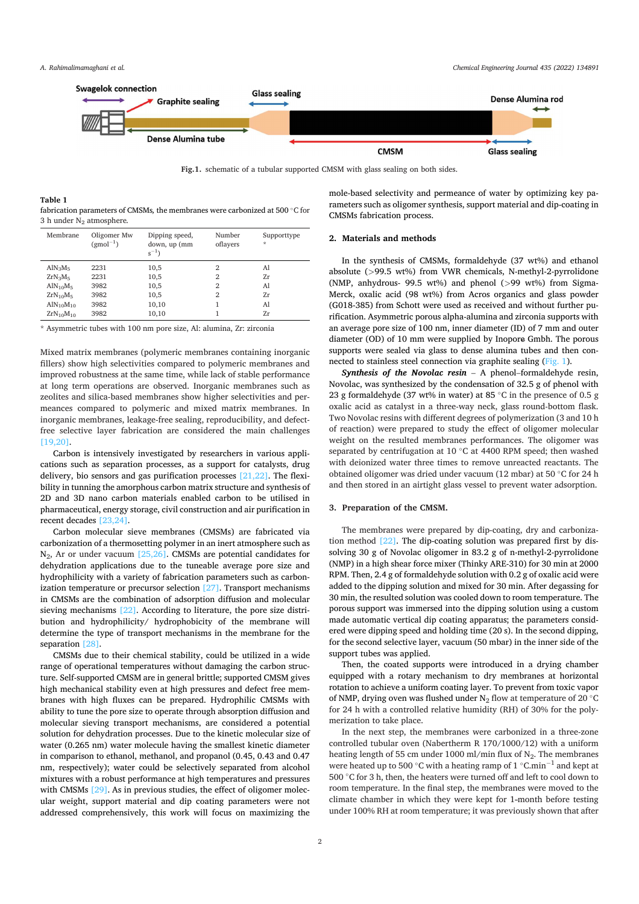

Fig.1. schematic of a tubular supported CMSM with glass sealing on both sides.

**Table!1!** fabrication parameters of CMSMs, the membranes were carbonized at 500 °C for 3 h under N<sub>2</sub> atmosphere.

| Membrane                          | Oligomer Mw<br>$(gmol^{-1})$ | Dipping speed,<br>down, up (mm<br>$s^{-1}$ | Number<br>oflayers | Supporttype<br>$\star$ |
|-----------------------------------|------------------------------|--------------------------------------------|--------------------|------------------------|
| $AlN_3M_5$                        | 2231                         | 10,5                                       | $\overline{2}$     | Al                     |
| $ZrN_3M_5$                        | 2231                         | 10,5                                       | $\overline{2}$     | 7r                     |
| AlN <sub>10</sub> M <sub>5</sub>  | 3982                         | 10,5                                       | 2                  | Al                     |
| $ZrN_{10}M_5$                     | 3982                         | 10,5                                       | $\overline{2}$     | Zr                     |
| AlN <sub>10</sub> M <sub>10</sub> | 3982                         | 10,10                                      |                    | Al                     |
| $ZrN_{10}M_{10}$                  | 3982                         | 10,10                                      |                    | 7.r                    |

\* Asymmetric tubes with 100 nm pore size, Al: alumina, Zr: zirconia

Mixed matrix membranes (polymeric membranes containing inorganic fillers) show high selectivities compared to polymeric membranes and improved robustness at the same time, while lack of stable performance at long term operations are observed. Inorganic membranes such as zeolites and silica-based membranes show higher selectivities and permeances compared to polymeric and mixed matrix membranes. In inorganic membranes, leakage-free sealing, reproducibility, and defectfree selective layer fabrication are considered the main challenges  $[19,20]$ .

Carbon is intensively investigated by researchers in various applications such as separation processes, as a support for catalysts, drug delivery, bio sensors and gas purification processes  $[21,22]$ . The flexibility in tunning the amorphous carbon matrix structure and synthesis of 2D and 3D nano carbon materials enabled carbon to be utilised in pharmaceutical, energy storage, civil construction and air purification in recent decades [23,24].

Carbon molecular sieve membranes (CMSMs) are fabricated via carbonization of a thermosetting polymer in an inert atmosphere such as  $N_2$ , Ar or under vacuum [25,26]. CMSMs are potential candidates for dehydration applications due to the tuneable average pore size and hydrophilicity with a variety of fabrication parameters such as carbonization temperature or precursor selection  $[27]$ . Transport mechanisms in CMSMs are the combination of adsorption diffusion and molecular sieving mechanisms  $[22]$ . According to literature, the pore size distribution and hydrophilicity/ hydrophobicity of the membrane will determine the type of transport mechanisms in the membrane for the separation [28].

CMSMs due to their chemical stability, could be utilized in a wide range of operational temperatures without damaging the carbon structure. Self-supported CMSM are in general brittle; supported CMSM gives high mechanical stability even at high pressures and defect free membranes with high fluxes can be prepared. Hydrophilic CMSMs with ability to tune the pore size to operate through absorption diffusion and molecular sieving transport mechanisms, are considered a potential solution for dehydration processes. Due to the kinetic molecular size of water (0.265 nm) water molecule having the smallest kinetic diameter in comparison to ethanol, methanol, and propanol (0.45, 0.43 and 0.47 nm, respectively); water could be selectively separated from alcohol mixtures with a robust performance at high temperatures and pressures with CMSMs  $[29]$ . As in previous studies, the effect of oligomer molecular weight, support material and dip coating parameters were not addressed comprehensively, this work will focus on maximizing the mole-based selectivity and permeance of water by optimizing key parameters such as oligomer synthesis, support material and dip-coating in CMSMs fabrication process.

#### 2. Materials and methods

In the synthesis of CMSMs, formaldehyde (37 wt%) and ethanol absolute (>99.5 wt%) from VWR chemicals, N-methyl-2-pyrrolidone (NMP, anhydrous-  $99.5$  wt%) and phenol ( $>99$  wt%) from Sigma-Merck, oxalic acid (98 wt%) from Acros organics and glass powder (G018-385) from Schott were used as received and without further purification. Asymmetric porous alpha-alumina and zirconia supports with an average pore size of 100 nm, inner diameter (ID) of 7 mm and outer diameter (OD) of 10 mm were supplied by Inopore Gmbh. The porous supports were sealed via glass to dense alumina tubes and then connected to stainless steel connection via graphite sealing (Fig. 1).

*Synthesis of the Novolac resin* – A phenol–formaldehyde resin, Novolac, was synthesized by the condensation of 32.5 g of phenol with 23 g formaldehyde (37 wt% in water) at 85 °C in the presence of 0.5 g oxalic acid as catalyst in a three-way neck, glass round-bottom flask. Two Novolac resins with different degrees of polymerization (3 and 10 h of reaction) were prepared to study the effect of oligomer molecular weight on the resulted membranes performances. The oligomer was separated by centrifugation at 10 °C at 4400 RPM speed; then washed with deionized water three times to remove unreacted reactants. The obtained oligomer was dried under vacuum (12 mbar) at 50 °C for 24 h and then stored in an airtight glass vessel to prevent water adsorption.

#### **3. Preparation of the CMSM.**

The membranes were prepared by dip-coating, dry and carbonization method  $[22]$ . The dip-coating solution was prepared first by dissolving 30 g of Novolac oligomer in 83.2 g of n-methyl-2-pyrrolidone (NMP) in a high shear force mixer (Thinky ARE-310) for 30 min at 2000 RPM. Then, 2.4 g of formaldehyde solution with 0.2 g of oxalic acid were added to the dipping solution and mixed for 30 min. After degassing for 30 min, the resulted solution was cooled down to room temperature. The porous support was immersed into the dipping solution using a custom made automatic vertical dip coating apparatus; the parameters considered were dipping speed and holding time (20 s). In the second dipping, for the second selective layer, vacuum (50 mbar) in the inner side of the support tubes was applied.

Then, the coated supports were introduced in a drying chamber equipped with a rotary mechanism to dry membranes at horizontal rotation to achieve a uniform coating layer. To prevent from toxic vapor of NMP, drying oven was flushed under N<sub>2</sub> flow at temperature of 20  $^{\circ} \mathrm C$ for 24 h with a controlled relative humidity (RH) of 30% for the polymerization to take place.

In the next step, the membranes were carbonized in a three-zone controlled tubular oven (Nabertherm R  $170/1000/12$ ) with a uniform heating length of 55 cm under 1000 ml/min flux of  $N_2$ . The membranes were heated up to 500 °C with a heating ramp of 1 °C.min<sup>-1</sup> and kept at 500 ℃ for 3 h, then, the heaters were turned off and left to cool down to room temperature. In the final step, the membranes were moved to the climate chamber in which they were kept for 1-month before testing under 100% RH at room temperature; it was previously shown that after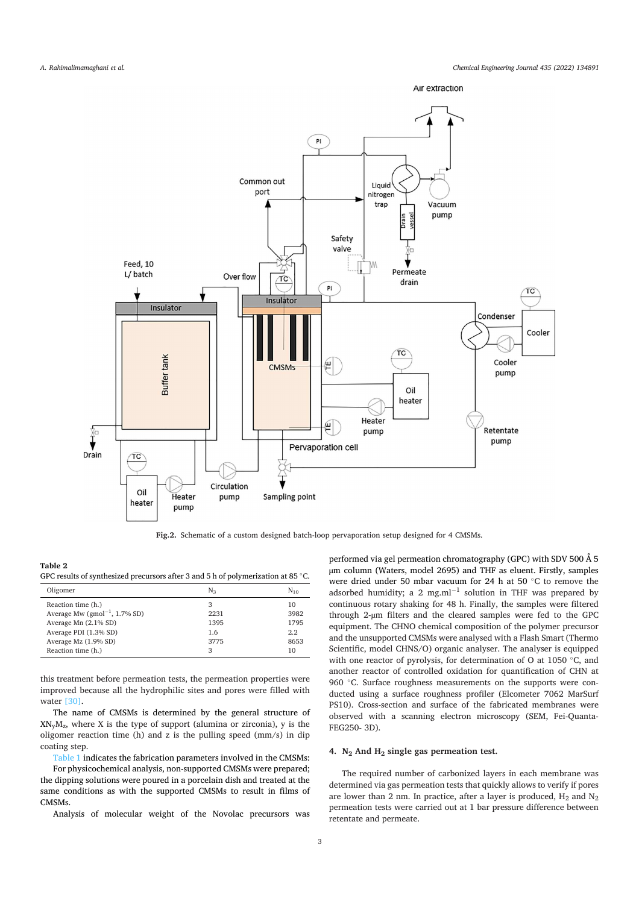



Fig.2. Schematic of a custom designed batch-loop pervaporation setup designed for 4 CMSMs.

| Table 2                                                                                   |  |  |  |
|-------------------------------------------------------------------------------------------|--|--|--|
| GPC results of synthesized precursors after 3 and 5 h of polymerization at 85 $\degree$ C |  |  |  |

| Oligomer                           | N٠   | $N_{10}$ |
|------------------------------------|------|----------|
| Reaction time (h.)                 | 3    | 10       |
| Average Mw $(gmol^{-1}, 1.7\%$ SD) | 2231 | 3982     |
| Average Mn (2.1% SD)               | 1395 | 1795     |
| Average PDI (1.3% SD)              | 1.6  | 2.2.     |
| Average Mz (1.9% SD)               | 3775 | 8653     |
| Reaction time (h.)                 | 3    | 10       |

this treatment before permeation tests, the permeation properties were improved because all the hydrophilic sites and pores were filled with water  $[30]$ .

The name of CMSMs is determined by the general structure of  $XN_{v}M_{z}$ , where X is the type of support (alumina or zirconia), y is the oligomer reaction time (h) and z is the pulling speed  $\frac{mm}{s}$  in dip coating step.

Table 1 indicates the fabrication parameters involved in the CMSMs:

For physicochemical analysis, non-supported CMSMs were prepared; the dipping solutions were poured in a porcelain dish and treated at the same conditions as with the supported CMSMs to result in films of CMSMs.

Analysis of molecular weight of the Novolac precursors was

performed via gel permeation chromatography (GPC) with SDV 500 Å 5 um column (Waters, model 2695) and THF as eluent. Firstly, samples were dried under 50 mbar vacuum for 24 h at 50 °C to remove the adsorbed humidity; a 2 mg.m $l^{-1}$  solution in THF was prepared by continuous rotary shaking for 48 h. Finally, the samples were filtered through 2-µm filters and the cleared samples were fed to the GPC equipment. The CHNO chemical composition of the polymer precursor and the unsupported CMSMs were analysed with a Flash Smart (Thermo Scientific, model CHNS/O) organic analyser. The analyser is equipped with one reactor of pyrolysis, for determination of O at 1050 °C, and another reactor of controlled oxidation for quantification of CHN at 960 °C. Surface roughness measurements on the supports were conducted using a surface roughness profiler (Elcometer 7062 MarSurf PS10). Cross-section and surface of the fabricated membranes were observed with a scanning electron microscopy (SEM, Fei-Quanta-FEG250-3D).

# 4.  $N_2$  And  $H_2$  single gas permeation test.

The required number of carbonized layers in each membrane was determined via gas permeation tests that quickly allows to verify if pores are lower than 2 nm. In practice, after a layer is produced,  $H_2$  and  $N_2$ permeation tests were carried out at 1 bar pressure difference between retentate and permeate.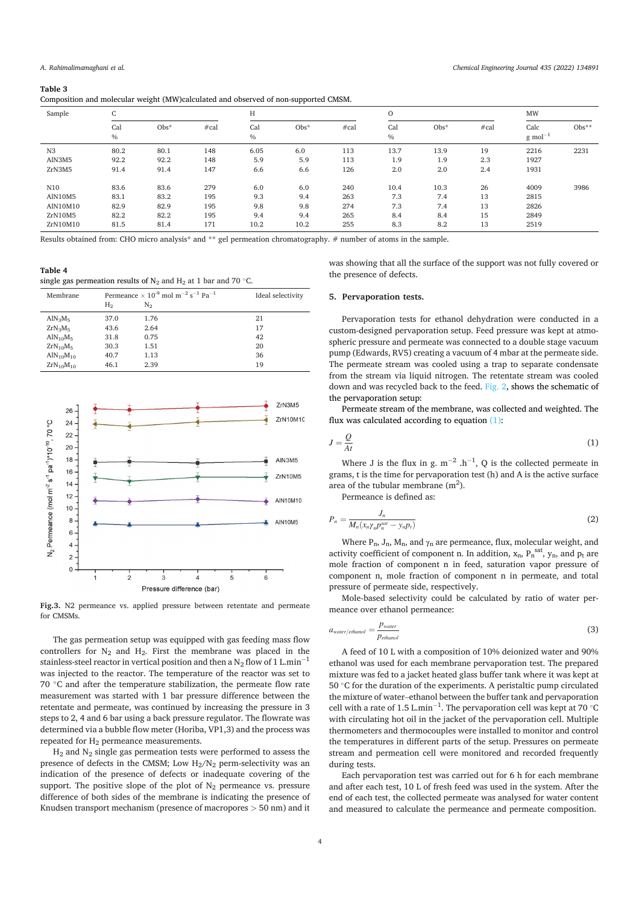#### **Table!3!**

| $\overline{\phantom{a}}$ |                 | $\sim$  |      |             | . .     |      |             |         |      |                       |         |
|--------------------------|-----------------|---------|------|-------------|---------|------|-------------|---------|------|-----------------------|---------|
| Sample                   | $\sqrt{2}$<br>U |         |      | Н           |         |      | $\circ$     |         |      | MW                    |         |
|                          | Cal<br>$\%$     | $Obs^*$ | #cal | Cal<br>$\%$ | $Obs^*$ | #cal | Cal<br>$\%$ | $Obs^*$ | #cal | Calc<br>$g \mod^{-1}$ | $Obs**$ |
| N <sub>3</sub>           | 80.2            | 80.1    | 148  | 6.05        | 6.0     | 113  | 13.7        | 13.9    | 19   | 2216                  | 2231    |
| AlN3M5                   | 92.2            | 92.2    | 148  | 5.9         | 5.9     | 113  | 1.9         | 1.9     | 2.3  | 1927                  |         |
| ZrN3M5                   | 91.4            | 91.4    | 147  | 6.6         | 6.6     | 126  | 2.0         | 2.0     | 2.4  | 1931                  |         |
| N10                      | 83.6            | 83.6    | 279  | 6.0         | 6.0     | 240  | 10.4        | 10.3    | 26   | 4009                  | 3986    |
| AlN10M5                  | 83.1            | 83.2    | 195  | 9.3         | 9.4     | 263  | 7.3         | 7.4     | 13   | 2815                  |         |
| AlN10M10                 | 82.9            | 82.9    | 195  | 9.8         | 9.8     | 274  | 7.3         | 7.4     | 13   | 2826                  |         |
| ZrN10M5                  | 82.2            | 82.2    | 195  | 9.4         | 9.4     | 265  | 8.4         | 8.4     | 15   | 2849                  |         |
| ZrN10M10                 | 81.5            | 81.4    | 171  | 10.2        | 10.2    | 255  | 8.3         | 8.2     | 13   | 2519                  |         |

Results obtained from: CHO micro analysis\* and \*\* gel permeation chromatography. # number of atoms in the sample.

Table 4 single gas permeation results of  $N_2$  and  $H_2$  at 1 bar and 70 °C.

| Membrane                          |                | Permeance $\times$ 10 <sup>-9</sup> mol m <sup>-2</sup> s <sup>-1</sup> Pa <sup>-1</sup> | Ideal selectivity |  |  |
|-----------------------------------|----------------|------------------------------------------------------------------------------------------|-------------------|--|--|
|                                   | H <sub>2</sub> | N <sub>2</sub>                                                                           |                   |  |  |
| $AlN_3M_5$                        | 37.0           | 1.76                                                                                     | 21                |  |  |
| $ZrN_3M_5$                        | 43.6           | 2.64                                                                                     | 17                |  |  |
| AlN <sub>10</sub> M <sub>5</sub>  | 31.8           | 0.75                                                                                     | 42                |  |  |
| $ZrN_{10}M_5$                     | 30.3           | 1.51                                                                                     | 20                |  |  |
| AlN <sub>10</sub> M <sub>10</sub> | 40.7           | 1.13                                                                                     | 36                |  |  |
| $ZrN_{10}M_{10}$                  | 46.1           | 2.39                                                                                     | 19                |  |  |



Fig.3. N2 permeance vs. applied pressure between retentate and permeate for CMSMs.

The gas permeation setup was equipped with gas feeding mass flow controllers for  $N_2$  and  $H_2$ . First the membrane was placed in the stainless-steel reactor in vertical position and then a N<sub>2</sub> flow of 1 L.min<sup>-1</sup> was injected to the reactor. The temperature of the reactor was set to 70  $°C$  and after the temperature stabilization, the permeate flow rate measurement was started with 1 bar pressure difference between the retentate and permeate, was continued by increasing the pressure in 3 steps to 2, 4 and 6 bar using a back pressure regulator. The flowrate was determined via a bubble flow meter (Horiba, VP1,3) and the process was repeated for H<sub>2</sub> permeance measurements.

 $H_2$  and  $N_2$  single gas permeation tests were performed to assess the presence of defects in the CMSM; Low  $H_2/N_2$  perm-selectivity was an indication of the presence of defects or inadequate covering of the support. The positive slope of the plot of  $N_2$  permeance vs. pressure difference of both sides of the membrane is indicating the presence of Knudsen transport mechanism (presence of macropores  $> 50$  nm) and it was showing that all the surface of the support was not fully covered or the presence of defects.

#### **5. Pervaporation tests.**

Pervaporation tests for ethanol dehydration were conducted in a custom-designed pervaporation setup. Feed pressure was kept at atmospheric pressure and permeate was connected to a double stage vacuum pump (Edwards, RV5) creating a vacuum of 4 mbar at the permeate side. The permeate stream was cooled using a trap to separate condensate from the stream via liquid nitrogen. The retentate stream was cooled down and was recycled back to the feed. Fig. 2, shows the schematic of the pervaporation setup:

Permeate stream of the membrane, was collected and weighted. The flux was calculated according to equation  $(1)$ :

$$
J = \frac{Q}{At} \tag{1}
$$

Where J is the flux in g.  $m^{-2}$  .h<sup>-1</sup>, Q is the collected permeate in grams, t is the time for pervaporation test (h) and A is the active surface area of the tubular membrane  $(m^2)$ .

Permeance is defined as:

$$
P_n = \frac{J_n}{M_n(x_n \gamma_n p_n^{sat} - y_n p_t)}\tag{2}
$$

Where  $P_n$ ,  $J_n$ ,  $M_n$ , and  $\gamma_n$  are permeance, flux, molecular weight, and activity coefficient of component n. In addition,  $x_n$ ,  $P_n^{\text{ sat}}, y_n$ , and  $p_t$  are mole fraction of component n in feed, saturation vapor pressure of component n, mole fraction of component n in permeate, and total pressure of permeate side, respectively.

Mole-based selectivity could be calculated by ratio of water permeance over ethanol permeance:

$$
a_{water/ethanol} = \frac{p_{water}}{p_{ethanol}}
$$
 (3)

A feed of 10 L with a composition of 10% deionized water and 90% ethanol was used for each membrane pervaporation test. The prepared mixture was fed to a jacket heated glass buffer tank where it was kept at 50 ℃ for the duration of the experiments. A peristaltic pump circulated the mixture of water–ethanol between the buffer tank and pervaporation cell with a rate of 1.5 L.min $^{-1}$ . The pervaporation cell was kept at 70 °C with circulating hot oil in the jacket of the pervaporation cell. Multiple thermometers and thermocouples were installed to monitor and control the temperatures in different parts of the setup. Pressures on permeate stream and permeation cell were monitored and recorded frequently during tests.

Each pervaporation test was carried out for 6 h for each membrane and after each test, 10 L of fresh feed was used in the system. After the end of each test, the collected permeate was analysed for water content and measured to calculate the permeance and permeate composition.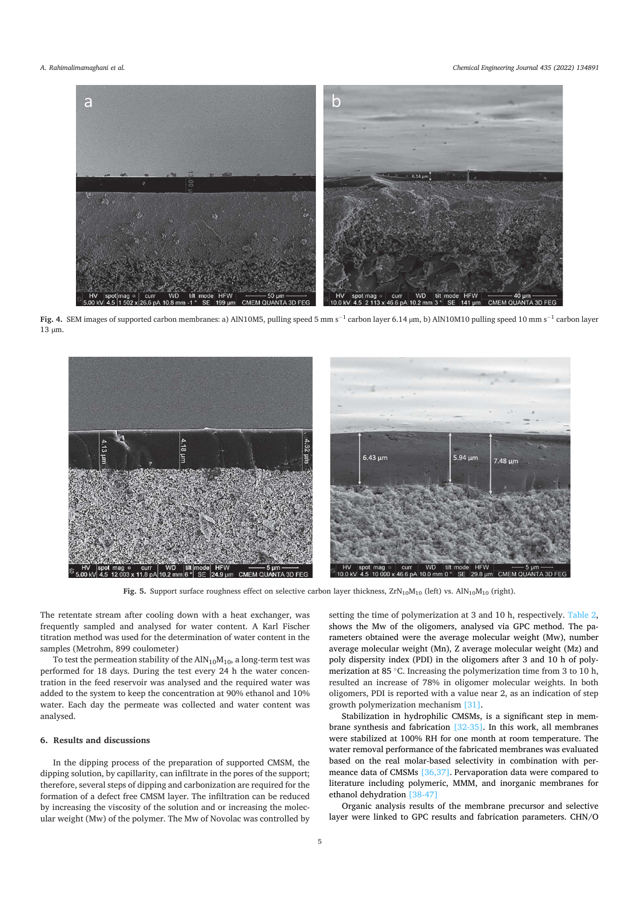

Fig. 4. SEM images of supported carbon membranes: a) AIN10M5, pulling speed 5 mm s<sup>-1</sup> carbon layer 6.14  $\mu$ m, b) AIN10M10 pulling speed 10 mm s<sup>-1</sup> carbon layer 13 um.



Fig. 5. Support surface roughness effect on selective carbon layer thickness,  $\text{ZrN}_{10}\text{M}_{10}$  (left) vs. AlN<sub>10</sub>M<sub>10</sub> (right).

The retentate stream after cooling down with a heat exchanger, was frequently sampled and analysed for water content. A Karl Fischer titration method was used for the determination of water content in the samples (Metrohm, 899 coulometer)

To test the permeation stability of the  $AlN_{10}M_{10}$ , a long-term test was performed for 18 days. During the test every 24 h the water concentration in the feed reservoir was analysed and the required water was added to the system to keep the concentration at 90% ethanol and 10% water. Each day the permeate was collected and water content was analysed.

#### 6. Results and discussions

In the dipping process of the preparation of supported CMSM, the dipping solution, by capillarity, can infiltrate in the pores of the support; therefore, several steps of dipping and carbonization are required for the formation of a defect free CMSM layer. The infiltration can be reduced by increasing the viscosity of the solution and or increasing the molecular weight (Mw) of the polymer. The Mw of Novolac was controlled by setting the time of polymerization at 3 and 10 h, respectively. Table 2, shows the Mw of the oligomers, analysed via GPC method. The parameters obtained were the average molecular weight (Mw), number average molecular weight (Mn), Z average molecular weight (Mz) and poly dispersity index (PDI) in the oligomers after 3 and 10 h of polymerization at 85  $\degree$ C. Increasing the polymerization time from 3 to 10 h, resulted an increase of 78% in oligomer molecular weights. In both oligomers. PDI is reported with a value near 2, as an indication of step growth polymerization mechanism [31].

Stabilization in hydrophilic CMSMs, is a significant step in membrane synthesis and fabrication  $[32-35]$ . In this work, all membranes were stabilized at 100% RH for one month at room temperature. The water removal performance of the fabricated membranes was evaluated based on the real molar-based selectivity in combination with permeance data of CMSMs  $[36,37]$ . Pervaporation data were compared to literature including polymeric, MMM, and inorganic membranes for ethanol dehydration [38-47]

Organic analysis results of the membrane precursor and selective layer were linked to GPC results and fabrication parameters. CHN/O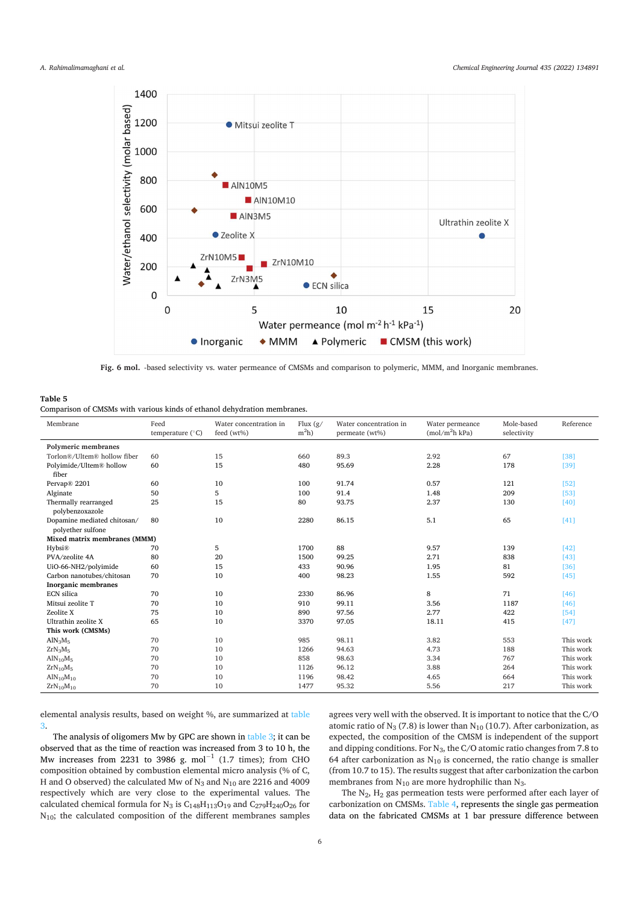

Fig. 6 mol. -based selectivity vs. water permeance of CMSMs and comparison to polymeric, MMM, and Inorganic membranes.

#### **Table!5!**

Comparison of CMSMs with various kinds of ethanol dehydration membranes.

| Membrane                                         | Feed<br>temperature $(^{\circ}C)$ | Water concentration in<br>feed (wt%) | Flux $(g/$<br>$m2h$ ) | Water concentration in<br>permeate (wt%) | Water permeance<br>(mol/m <sup>2</sup> h kPa) | Mole-based<br>selectivity | Reference |
|--------------------------------------------------|-----------------------------------|--------------------------------------|-----------------------|------------------------------------------|-----------------------------------------------|---------------------------|-----------|
| Polymeric membranes                              |                                   |                                      |                       |                                          |                                               |                           |           |
| Torlon®/Ultem® hollow fiber                      | 60                                | 15                                   | 660                   | 89.3                                     | 2.92                                          | 67                        | $[38]$    |
| Polyimide/Ultem® hollow<br>fiber                 | 60                                | 15                                   | 480                   | 95.69                                    | 2.28                                          | 178                       | [39]      |
| Pervap® 2201                                     | 60                                | 10                                   | 100                   | 91.74                                    | 0.57                                          | 121                       | [52]      |
| Alginate                                         | 50                                | 5                                    | 100                   | 91.4                                     | 1.48                                          | 209                       | [53]      |
| Thermally rearranged<br>polybenzoxazole          | 25                                | 15                                   | 80                    | 93.75                                    | 2.37                                          | 130                       | [40]      |
| Dopamine mediated chitosan/<br>polyether sulfone | 80                                | 10                                   | 2280                  | 86.15                                    | 5.1                                           | 65                        | [41]      |
| Mixed matrix membranes (MMM)                     |                                   |                                      |                       |                                          |                                               |                           |           |
| Hybsi®                                           | 70                                | 5                                    | 1700                  | 88                                       | 9.57                                          | 139                       | [42]      |
| PVA/zeolite 4A                                   | 80                                | 20                                   | 1500                  | 99.25                                    | 2.71                                          | 838                       | [43]      |
| UiO-66-NH2/polyimide                             | 60                                | 15                                   | 433                   | 90.96                                    | 1.95                                          | 81                        | [36]      |
| Carbon nanotubes/chitosan                        | 70                                | 10                                   | 400                   | 98.23                                    | 1.55                                          | 592                       | [45]      |
| <b>Inorganic membranes</b>                       |                                   |                                      |                       |                                          |                                               |                           |           |
| <b>ECN</b> silica                                | 70                                | 10                                   | 2330                  | 86.96                                    | 8                                             | 71                        | [46]      |
| Mitsui zeolite T                                 | 70                                | 10                                   | 910                   | 99.11                                    | 3.56                                          | 1187                      | [46]      |
| Zeolite X                                        | 75                                | 10                                   | 890                   | 97.56                                    | 2.77                                          | 422                       | [54]      |
| Ultrathin zeolite X                              | 65                                | 10                                   | 3370                  | 97.05                                    | 18.11                                         | 415                       | [47]      |
| This work (CMSMs)                                |                                   |                                      |                       |                                          |                                               |                           |           |
| AlN <sub>3</sub> M <sub>5</sub>                  | 70                                | 10                                   | 985                   | 98.11                                    | 3.82                                          | 553                       | This work |
| $ZrN_3M_5$                                       | 70                                | 10                                   | 1266                  | 94.63                                    | 4.73                                          | 188                       | This work |
| AlN <sub>10</sub> M <sub>5</sub>                 | 70                                | 10                                   | 858                   | 98.63                                    | 3.34                                          | 767                       | This work |
| $ZrN_{10}M_5$                                    | 70                                | 10                                   | 1126                  | 96.12                                    | 3.88                                          | 264                       | This work |
| AlN <sub>10</sub> M <sub>10</sub>                | 70                                | 10                                   | 1196                  | 98.42                                    | 4.65                                          | 664                       | This work |
| $ZrN_{10}M_{10}$                                 | 70                                | 10                                   | 1477                  | 95.32                                    | 5.56                                          | 217                       | This work |

elemental analysis results, based on weight %, are summarized at table 3.!

The analysis of oligomers Mw by GPC are shown in table 3; it can be observed that as the time of reaction was increased from 3 to 10 h, the Mw increases from 2231 to 3986 g. mol<sup>-1</sup> (1.7 times); from CHO composition obtained by combustion elemental micro analysis (% of C, H and O observed) the calculated Mw of  $N_3$  and  $N_{10}$  are 2216 and 4009 respectively which are very close to the experimental values. The calculated chemical formula for  $N_3$  is  $C_{148}H_{113}O_{19}$  and  $C_{279}H_{240}O_{26}$  for  $N_{10}$ ; the calculated composition of the different membranes samples

agrees very well with the observed. It is important to notice that the  $C/O$ atomic ratio of  $N_3$  (7.8) is lower than  $N_{10}$  (10.7). After carbonization, as expected, the composition of the CMSM is independent of the support and dipping conditions. For  $N_3$ , the C/O atomic ratio changes from 7.8 to 64 after carbonization as  $N_{10}$  is concerned, the ratio change is smaller (from 10.7 to 15). The results suggest that after carbonization the carbon membranes from  $N_{10}$  are more hydrophilic than  $N_3$ .

The  $N_2$ ,  $H_2$  gas permeation tests were performed after each layer of carbonization on CMSMs. Table 4, represents the single gas permeation data on the fabricated CMSMs at 1 bar pressure difference between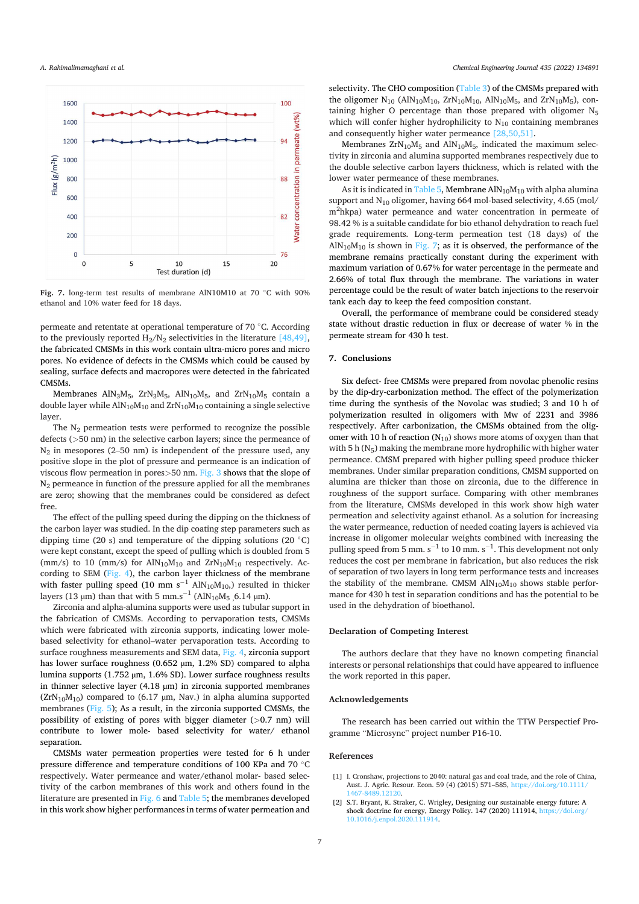#### A. Rahimalimamaghani et al.



Fig. 7. long-term test results of membrane AlN10M10 at 70 °C with 90% ethanol and 10% water feed for 18 days.

permeate and retentate at operational temperature of 70 °C. According to the previously reported  $H_2/N_2$  selectivities in the literature [48,49], the fabricated CMSMs in this work contain ultra-micro pores and micro pores. No evidence of defects in the CMSMs which could be caused by sealing, surface defects and macropores were detected in the fabricated CMSMs.

Membranes AlN<sub>3</sub>M<sub>5</sub>, ZrN<sub>3</sub>M<sub>5</sub>, AlN<sub>10</sub>M<sub>5</sub>, and ZrN<sub>10</sub>M<sub>5</sub> contain a double layer while  $AlN_{10}M_{10}$  and  $ZrN_{10}M_{10}$  containing a single selective laver.

The  $N_2$  permeation tests were performed to recognize the possible defects (>50 nm) in the selective carbon layers; since the permeance of  $N_2$  in mesopores (2–50 nm) is independent of the pressure used, any positive slope in the plot of pressure and permeance is an indication of viscous flow permeation in pores $>50$  nm. Fig. 3 shows that the slope of  $N_2$  permeance in function of the pressure applied for all the membranes are zero; showing that the membranes could be considered as defect free.

The effect of the pulling speed during the dipping on the thickness of the carbon layer was studied. In the dip coating step parameters such as dipping time (20 s) and temperature of the dipping solutions (20  $^{\circ}$ C) were kept constant, except the speed of pulling which is doubled from 5 (mm/s) to 10 (mm/s) for  $AlN_{10}M_{10}$  and  $ZrN_{10}M_{10}$  respectively. According to SEM  $(Fig. 4)$ , the carbon layer thickness of the membrane with faster pulling speed (10 mm  $s^{-1}$  AlN<sub>10</sub>M<sub>10</sub>) resulted in thicker lavers (13 um) than that with 5 mm.s<sup>-1</sup> (AlN<sub>10</sub>M<sub>5</sub> 6.14 um).

Zirconia and alpha-alumina supports were used as tubular support in the fabrication of CMSMs. According to pervaporation tests, CMSMs which were fabricated with zirconia supports, indicating lower molebased selectivity for ethanol-water pervaporation tests. According to surface roughness measurements and SEM data, Fig. 4, zirconia support has lower surface roughness (0.652 µm, 1.2% SD) compared to alpha lumina supports (1.752 µm, 1.6% SD). Lower surface roughness results in thinner selective layer (4.18  $\mu$ m) in zirconia supported membranes  $(ZrN_{10}M_{10})$  compared to (6.17 µm, Nav.) in alpha alumina supported membranes (Fig. 5); As a result, in the zirconia supported CMSMs, the possibility of existing of pores with bigger diameter (>0.7 nm) will contribute to lower mole- based selectivity for water/ ethanol separation.

CMSMs water permeation properties were tested for 6 h under pressure difference and temperature conditions of 100 KPa and 70 °C respectively. Water permeance and water/ethanol molar- based selectivity of the carbon membranes of this work and others found in the literature are presented in Fig. 6 and Table 5; the membranes developed in this work show higher performances in terms of water permeation and selectivity. The CHO composition (Table 3) of the CMSMs prepared with the oligomer  $N_{10}$  (AlN<sub>10</sub>M<sub>10</sub>, ZrN<sub>10</sub>M<sub>10</sub>, AlN<sub>10</sub>M<sub>5</sub>, and ZrN<sub>10</sub>M<sub>5</sub>), containing higher O percentage than those prepared with oligomer N<sub>5</sub> which will confer higher hydrophilicity to  $N_{10}$  containing membranes and consequently higher water permeance  $[28,50,51]$ .

Membranes  $ZrN_{10}M_5$  and  $AlN_{10}M_5$ , indicated the maximum selectivity in zirconia and alumina supported membranes respectively due to the double selective carbon layers thickness, which is related with the lower water permeance of these membranes.

As it is indicated in Table 5, Membrane  $AlN_{10}M_{10}$  with alpha alumina support and  $N_{10}$  oligomer, having 664 mol-based selectivity, 4.65 (mol/ m<sup>2</sup>hkpa) water permeance and water concentration in permeate of 98.42 % is a suitable candidate for bio ethanol dehydration to reach fuel grade requirements. Long-term permeation test (18 days) of the  $AlN_{10}M_{10}$  is shown in Fig. 7; as it is observed, the performance of the membrane remains practically constant during the experiment with maximum variation of 0.67% for water percentage in the permeate and 2.66% of total flux through the membrane. The variations in water percentage could be the result of water batch injections to the reservoir tank each day to keep the feed composition constant.

Overall, the performance of membrane could be considered steady state without drastic reduction in flux or decrease of water % in the permeate stream for 430 h test.

# 7. Conclusions

Six defect- free CMSMs were prepared from novolac phenolic resins by the dip-dry-carbonization method. The effect of the polymerization time during the synthesis of the Novolac was studied; 3 and 10 h of polymerization resulted in oligomers with Mw of 2231 and 3986 respectively. After carbonization, the CMSMs obtained from the oligomer with 10 h of reaction  $(N_{10})$  shows more atoms of oxygen than that with 5 h  $(N_5)$  making the membrane more hydrophilic with higher water permeance. CMSM prepared with higher pulling speed produce thicker membranes. Under similar preparation conditions, CMSM supported on alumina are thicker than those on zirconia, due to the difference in roughness of the support surface. Comparing with other membranes from the literature, CMSMs developed in this work show high water permeation and selectivity against ethanol. As a solution for increasing the water permeance, reduction of needed coating layers is achieved via increase in oligomer molecular weights combined with increasing the pulling speed from 5 mm.  $s^{-1}$  to 10 mm.  $s^{-1}$ . This development not only reduces the cost per membrane in fabrication, but also reduces the risk of separation of two layers in long term performance tests and increases the stability of the membrane. CMSM  $AlN_{10}M_{10}$  shows stable performance for 430 h test in separation conditions and has the potential to be used in the dehydration of bioethanol.

#### **Declaration of Competing Interest**

The authors declare that they have no known competing financial interests or personal relationships that could have appeared to influence the work reported in this paper.

#### Acknowledgements

The research has been carried out within the TTW Perspectief Programme "Microsync" project number P16-10.

### **References**

- [1] I. Cronshaw, projections to 2040: natural gas and coal trade, and the role of China, Aust. J. Agric. Resour. Econ. 59 (4) (2015) 571-585. https://doi.org/10.1111 467-8489 12120
- S.T. Bryant, K. Straker, C. Wrigley, Designing our sustainable energy future: A shock doctrine for energy, Energy Policy. 147 (2020) 111914, https://doi.org/  $\lceil 2 \rceil$ 10.1016/j.enpol.2020.111914.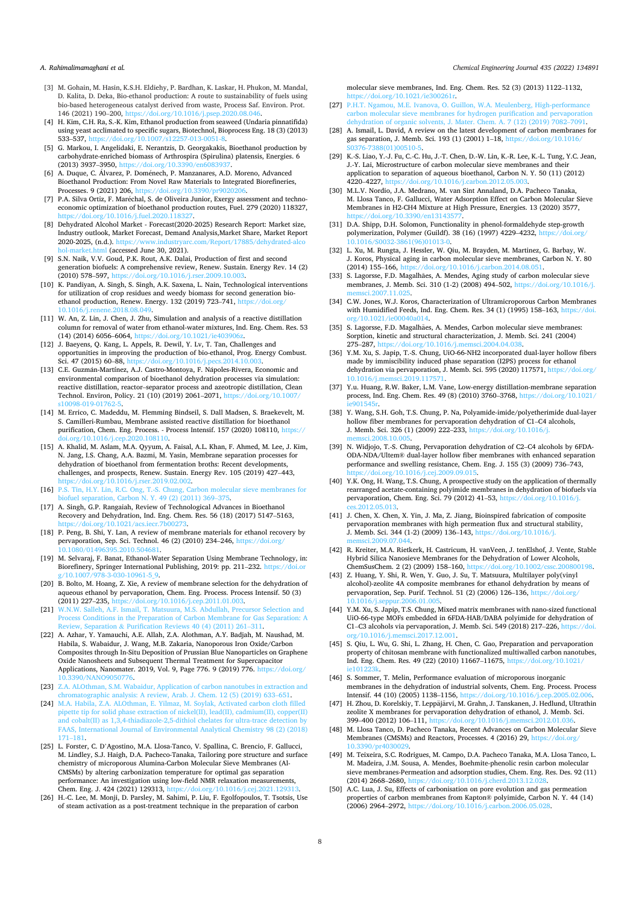#### A. Rahimalimamaghani et al.

- [3] M. Gohain, M. Hasin, K.S.H. Eldiehy, P. Bardhan, K. Laskar, H. Phukon, M. Mandal, D. Kalita, D. Deka, Bio-ethanol production: A route to sustainability of fuels using bio-based heterogeneous catalyst derived from waste, Process Saf. Environ. Prot. 146 (2021) 190–200, https://doi.org/10.1016/j.psep.2020.08.046
- [4] H. Kim, C.H. Ra, S.-K. Kim, Ethanol production from seaweed (Undaria pinnatifida) using yeast acclimated to specific sugars, Biotechnol, Bioprocess Eng. 18 (3) (2013) 533–537, https://doi.org/10.1007/s12257-013-0051-8.<br>[5] G. Markou, I. Angelidaki, E. Nerantzis, D. Georgakakis, Bioethanol production by
- carbohydrate-enriched biomass of Arthrospira (Spirulina) platensis, Energies. 6 (2013) 3937–3950, https://doi.or
- [6] A. Duque, C. Álvarez, P. Doménech, P. Manzanares, A.D. Moreno, Advanced Bioethanol Production: From Novel Raw Materials to Integrated Biorefineries, Processes. 9 (2021) 206, https://doi.org/10.3390.
- [7] P.A. Silva Ortiz, F. Maréchal, S. de Oliveira Junior, Exergy assessment and technoeconomic optimization of bioethanol production routes, Fuel. 279 (2020) 118327, https://doi.org/10.1016/j.fuel.2020.118327.!
- [8] Dehydrated Alcohol Market Forecast(2020-2025) Research Report: Market size, Industry outlook, Market Forecast, Demand Analysis,Market Share, Market Report 2020-2025. (n.d.). https://www.industryarc.com/Report/17885/dehydrated-alco om/Report/17885/dehydrated hol-market.html (accessed June 30, 2021).
- [9] S.N. Naik, V.V. Goud, P.K. Rout, A.K. Dalai, Production of first and second generation biofuels: A comprehensive review, Renew. Sustain. Energy Rev. 14 (2) (2010) 578–597, https://doi.org/10.1016/j.rser.2009.10.00
- [10] K. Pandiyan, A. Singh, S. Singh, A.K. Saxena, L. Nain, Technological interventions for utilization of crop residues and weedy biomass for second generation bioethanol production, Renew. Energy. 132 (2019) 723–741, https://doi.org  $.018.08.04$
- [11] W. An, Z. Lin, J. Chen, J. Zhu, Simulation and analysis of a reactive distillation column for removal of water from ethanol-water mixtures, Ind. Eng. Chem. Res. 53  $(14)$   $(2014)$  6056–6064, https://doi.
- [12] J. Baeyens, Q. Kang, L. Appels, R. Dewil, Y. Lv, T. Tan, Challenges and opportunities in improving the production of bio-ethanol, Prog. Energy Combust.<br>Sci. 47 (2015) 60–88. https://doi.org/10.1016/i.precs.2014.10.003.  $\overline{Sci}$ , 47 (2015) 60–88, ht
- [13] C.E. Guzmán-Martínez, A.J. Castro-Montoya, F. Nápoles-Rivera, Economic and environmental comparison of bioethanol dehydration processes via simulation: reactive distillation, reactor–separator process and azeotropic distillation, Clean Technol. Environ, Policy. 21 (10) (2019) 2061–2071, http s10098-019-01762-5.!
- [14] M. Errico, C. Madeddu, M. Flemming Bindseil, S. Dall Madsen, S. Braekevelt, M. S. Camilleri-Rumbau, Membrane assisted reactive distillation for bioethanol purification, Chem. Eng. Process. - Process Intensif. 157 (2020) 108110, https:// 020.108110
- [15] A. Khalid, M. Aslam, M.A. Qyyum, A. Faisal, A.L. Khan, F. Ahmed, M. Lee, J. Kim, N. Jang, I.S. Chang, A.A. Bazmi, M. Yasin, Membrane separation processes for dehydration of bioethanol from fermentation broths: Recent developments, challenges, and prospects, Renew. Sustain. Energy Rev. 105 (2019) 427-443,
- https://doi.org/10.1016/j.rser.2019.02.002.<br>
[16] P.S. Tin, H.Y. Lin, R.C. Ong, T.-S. Chung, Carbon molecular sieve membranes for<br>
biofuel separation, Carbon N. Y. 49 (2) (2011) 369–375.
- [17] A. Singh, G.P. Rangaiah, Review of Technological Advances in Bioethanol Recovery and Dehydration, Ind. Eng. Chem. Res. 56 (18) (2017) 5147-5163, https://doi.org/10.1021/acs.iecr.7b00273.!
- [18] P. Peng, B. Shi, Y. Lan, A review of membrane materials for ethanol recovery by pervaporation, Sep. Sci. Technol. 46 (2) (2010) 234–246, htt
- 10.1080/01496395.2010.504681.<br>[19] M. Selvaraj, F. Banat, Ethanol-Water Separation Using Membrane Technology, in: Biorefinery, Springer International Publishing, 2019: pp. 211–232. https://doi.org g/10.1007/978-3-030-10961-5\_9.!
- [20] B. Bolto, M. Hoang, Z. Xie, A review of membrane selection for the dehydration of aqueous ethanol by pervaporation, Chem. Eng. Process. Process Intensif. 50 (3)
- (2011) 227–235, https://doi.org/10.1016/j.cep.2011.01.003.<br>[21] W.N.W. Salleh, A.F. Ismail, T. Matsuura, M.S. Abdullah, Precursor Selection and Process Conditions in the Preparation of Carbon Membrane for Gas Separation: A Review, Separation & Purification Reviews 40 (4) (2011) 261–311.
- [22] A. Azhar, Y. Yamauchi, A.E. Allah, Z.A. Alothman, A.Y. Badjah, M. Naushad, M. Habila, S. Wabaidur, J. Wang, M.B. Zakaria, Nanoporous Iron Oxide/Carbon Composites through In-Situ Deposition of Prussian Blue Nanoparticles on Graphene Oxide Nanosheets and Subsequent Thermal Treatment for Supercapacitor Applications, Nanomater. 2019, Vol. 9, Page 776. 9 (2019) 776. https://doi.org/ 00/NANO9050776
- [23] Z.A. ALOthman, S.M. Wabaidur, Application of carbon nanotubes in extraction and chromatographic analysis: A review, Arab. J. Chem. 12 (5) (2019) 633-651.
- [24] M.A. Habila, Z.A. ALOthman, E. Yilmaz, M. Soylak, Activated carbon cloth filled pipette tip for solid phase extraction of nickel(II), lead(II), cadmium(II), copper(II) and  $\cosh(III)$  as 1,3,4-thiadiazole-2,5-dithiol chelates for ultra-trace detection by FAAS, International Journal of Environmental Analytical Chemistry 98 (2) (2018)  $71 - 181.$
- [25] L. Forster, C. D'Agostino, M.A. Llosa-Tanco, V. Spallina, C. Brencio, F. Gallucci, M. Lindley, S.J. Haigh, D.A. Pacheco-Tanaka, Tailoring pore structure and surface<br>chemistry of microporous Alumina-Carbon Molecular Sieve Membranes (Al- $CMS$ Ms) by altering carbonization temperature for optimal gas separation performance: An investigation using low-field NMR relaxation measurements, Chem. Eng. J. 424 (2021) 129313.
- [26] H.-C. Lee, M. Monji, D. Parsley, M. Sahimi, P. Liu, F. Egolfopoulos, T. Tsotsis, Use of steam activation as a post-treatment technique in the preparation of carbon

#### *Chemical Engineering Journal 435 (2022) 134891*

molecular sieve membranes, Ind. Eng. Chem. Res. 52 (3) (2013) 1122-1132, https://doi.org/10.1021/ie300261r.

- [27] P.H.T. Ngamou, M.E. Ivanova, O. Guillon, W.A. Meulenberg, High-performance carbon molecular sieve membranes for hydrogen purification and pervaporation dehydration of organic solvents, J. Mater. Chem. A. 7 (12) (2019) 7082-7091.
- [28] A. Ismail, L. David, A review on the latest development of carbon membranes for gas separation, J. Memb. Sci. 193 (1) (2001)  $1-18$ , https://doi.org/10.1016/ S0376-7388(01)00510-5.!
- [29] K.-S. Liao, Y.-J. Fu, C.-C. Hu, J.-T. Chen, D.-W. Lin, K.-R. Lee, K.-L. Tung, Y.C. Jean, J.-Y. Lai, Microstructure of carbon molecular sieve membranes and their application to separation of aqueous bioethanol, Carbon N. Y. 50  $(11)$   $(2012)$ 4220–4227, https://doi.org/10.1016/j.carbon.2012.05.003
- [30] M.L.V. Nordio, J.A. Medrano, M. van Sint Annaland, D.A. Pacheco Tanaka, M. Llosa Tanco, F. Gallucci, Water Adsorption Effect on Carbon Molecular Sieve Membranes in H2-CH4 Mixture at High Pressure, Energies. 13 (2020) 3577, 1314
- [31] D.A. Shipp, D.H. Solomon, Functionality in phenol-formaldehyde step-growth polymerization, Polymer (Guildf). 38 (16) (1997) 4229–4232, https://doi.org/ 10.1016/S0032-3861(96)01013-0.!
- [32] L. Xu, M. Rungta, J. Hessler, W. Qiu, M. Brayden, M. Martinez, G. Barbay, W. J. Koros, Physical aging in carbon molecular sieve membranes, Carbon N. Y. 80 (2014) 155-166, https://doi.org/10.1016/j.carbon.2014.08.051. /doi.org/10.1016/j.carbon.2014.08.051
- [33] S. Lagorsse, F.D. Magalhães, A. Mendes, Aging study of carbon molecular sieve membranes, J. Memb. Sci. 310 (1-2) (2008) 494–502, https://doi.org/10.1016/j. ci.2007.11.025
- [34] C.W. Jones, W.J. Koros, Characterization of Ultramicroporous Carbon Membranes with Humidified Feeds, Ind. Eng. Chem. Res. 34 (1) (1995) 158-163, https://doi.  $10.1021/$ i
- [35] S. Lagorsse, F.D. Magalhães, A. Mendes, Carbon molecular sieve membranes: Sorption, kinetic and structural characterization, J. Memb. Sci. 241 (2004)
- 275–287, https://doi.org/10.1016/j.memsci.2004.04.038.<br>[36] Y.M. Xu, S. Japip, T.-S. Chung, UiO-66-NH2 incorporated dual-layer hollow fibers made by immiscibility induced phase separation (I2PS) process for ethanol dehydration via pervaporation, J. Memb. Sci. 595 (2020) 117571, https://doi.org 10.1016/j.memsci.2019.117571.!
- [37] Y.u. Huang, R.W. Baker, L.M. Vane, Low-energy distillation-membrane separation process, Ind. Eng. Chem. Res. 49 (8) (2010) 3760–3768, https://doi.org/10.1021 ie901545r.!
- [38] Y. Wang, S.H. Goh, T.S. Chung, P. Na, Polyamide-imide/polyetherimide dual-layer hollow fiber membranes for pervaporation dehydration of C1–C4 alcohols, J. Memb. Sci. 326 (1) (2009) 222-233, https://doi.org/10.1016/j memsci.2008.10.005.!
- [39] N. Widiojo, T.-S. Chung, Pervaporation dehydration of C2–C4 alcohols by 6FDA- $ODA-NDA/U$ ltem $R$  dual-layer hollow fiber membranes with enhanced separation performance and swelling resistance, Chem. Eng. J. 155 (3) (2009) 736–743,  $\frac{\text{doi.org}}{10.1016}$ .cej.2009.09.015.
- [40] Y.K. Ong, H. Wang, T.S. Chung, A prospective study on the application of thermally rearranged acetate-containing polyimide membranes in dehydration of biofuels via pervaporation, Chem. Eng. Sci. 79 (2012) 41–53, https://doi.org/10.1016/j. ces.2012.05.013.!
- [41] J. Chen, X. Chen, X. Yin, J. Ma, Z. Jiang, Bioinspired fabrication of composite pervaporation membranes with high permeation flux and structural stability, J. Memb. Sci. 344 (1-2) (2009) 136–143, https://doi.org/10.1016/j
- memsci.2009.07.044.<br>[42] R. Kreiter, M.A. Rietkerk, H. Castricum, H. vanVeen, J. tenElshof, J. Vente, Stable Hybrid Silica Nanosieve Membranes for the Dehydration of Lower Alcohols, ChemSusChem. 2 (2) (2009) 158-160, htt
- [43] Z. Huang, Y. Shi, R. Wen, Y. Guo, J. Su, T. Matsuura, Multilayer poly(vinyl alcohol)-zeolite 4A composite membranes for ethanol dehydration by means of pervaporation, Sep. Purif. Technol. 51 (2) (2006) 126-136, https://doi.org/ 10.1016/j.seppur.2006.01.005.!
- [44] Y.M. Xu, S. Japip, T.S. Chung, Mixed matrix membranes with nano-sized functional UiO-66-type MOFs embedded in 6FDA-HAB/DABA polyimide for dehydration of C1–C3 alcohols via pervaporation, J. Memb. Sci. 549 (2018) 217–226, https:// g/10.1016/j.memsci.2017.12.001
- [45] S. Qiu, L. Wu, G. Shi, L. Zhang, H. Chen, C. Gao, Preparation and pervaporation property of chitosan membrane with functionalized multiwalled carbon nanotubes. Ind. Eng. Chem. Res. 49 (22) (2010) 11667-11675, https://doi.org/10.1021/ ie101223k.!
- [46] S. Sommer, T. Melin, Performance evaluation of microporous inorganic membranes in the dehydration of industrial solvents, Chem. Eng. Process. Process Intensif. 44 (10) (2005) 1138–1156, https://doi.org/10.1016
- [47] H. Zhou, D. Korelskiy, T. Leppäjärvi, M. Grahn, J. Tanskanen, J. Hedlund, Ultrathin zeolite X membranes for pervaporation dehydration of ethanol, J. Memb. Sci.<br>399–400 (2012) 106–111. https://doi.org/10.1016/j.memsci.2012.01.036. 399–400 (2012) 106–111, http
- [48] M. Llosa Tanco, D. Pacheco Tanaka, Recent Advances on Carbon Molecular Sieve Membranes (CMSMs) and Reactors, Processes. 4 (2016) 29, https://doi.org 10.3390/pr4030029.!
- [49] M. Teixeira, S.C. Rodrigues, M. Campo, D.A. Pacheco Tanaka, M.A. Llosa Tanco, L. M. Madeira, J.M. Sousa, A. Mendes, Boehmite-phenolic resin carbon molecular sieve membranes-Permeation and adsorption studies, Chem. Eng. Res. Des. 92 (11) (2014) 2668-2680, https://doi.org/10.1016/j.cherd.2013.12.0
- [50] A.C. Lua, J. Su, Effects of carbonisation on pore evolution and gas permeation properties of carbon membranes from Kapton® polyimide, Carbon N. Y. 44 (14) (2006) 2964–2972, https://doi.org/10.1016/j.c